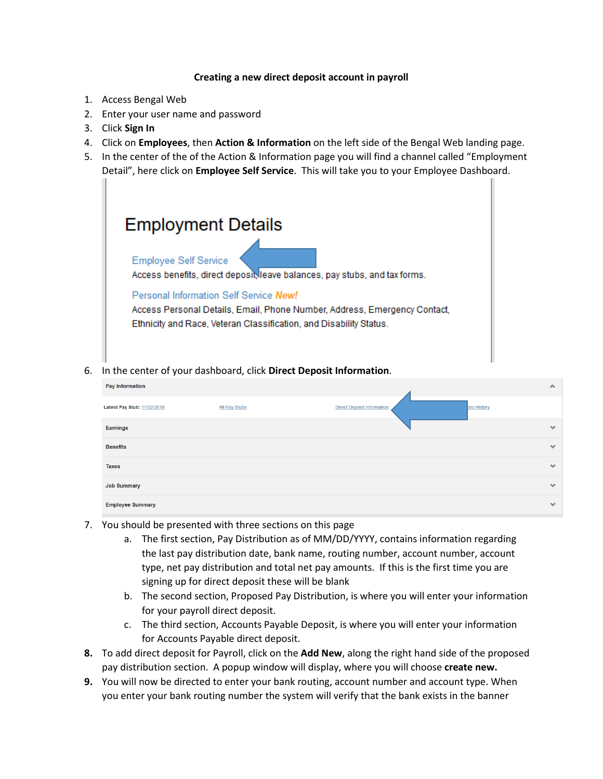## **Creating a new direct deposit account in payroll**

- 1. Access Bengal Web
- 2. Enter your user name and password
- 3. Click **Sign In**
- 4. Click on **Employees**, then **Action & Information** on the left side of the Bengal Web landing page.
- 5. In the center of the of the Action & Information page you will find a channel called "Employment Detail", here click on **Employee Self Service**. This will take you to your Employee Dashboard.



6. In the center of your dashboard, click **Direct Deposit Information**.

| <b>Pay Information</b>      |                      |                                   |                    | $\blacktriangle$     |
|-----------------------------|----------------------|-----------------------------------|--------------------|----------------------|
| Latest Pay Stub: 11/02/2018 | <b>All Pay Stubs</b> | <b>Direct Deposit Information</b> | <b>bns History</b> |                      |
| <b>Earnings</b>             |                      |                                   |                    | $\mathbf{v}$         |
| <b>Benefits</b>             |                      |                                   |                    | $\blacktriangledown$ |
| <b>Taxes</b>                |                      |                                   |                    | $\mathbf{v}$         |
| <b>Job Summary</b>          |                      |                                   |                    | $\blacktriangledown$ |
| <b>Employee Summary</b>     |                      |                                   |                    | $\mathbf{v}$         |

- 7. You should be presented with three sections on this page
	- a. The first section, Pay Distribution as of MM/DD/YYYY, contains information regarding the last pay distribution date, bank name, routing number, account number, account type, net pay distribution and total net pay amounts. If this is the first time you are signing up for direct deposit these will be blank
	- b. The second section, Proposed Pay Distribution, is where you will enter your information for your payroll direct deposit.
	- c. The third section, Accounts Payable Deposit, is where you will enter your information for Accounts Payable direct deposit.
- **8.** To add direct deposit for Payroll, click on the **Add New**, along the right hand side of the proposed pay distribution section. A popup window will display, where you will choose **create new.**
- **9.** You will now be directed to enter your bank routing, account number and account type. When you enter your bank routing number the system will verify that the bank exists in the banner